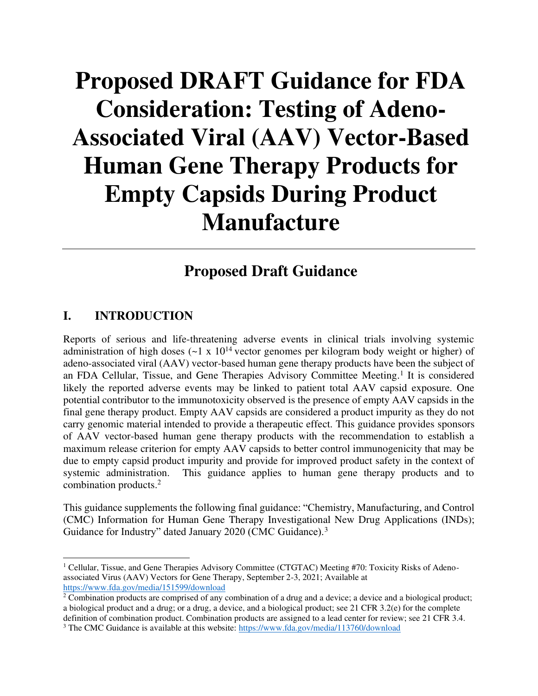# **Proposed DRAFT Guidance for FDA Consideration: Testing of Adeno-Associated Viral (AAV) Vector-Based Human Gene Therapy Products for Empty Capsids During Product Manufacture**

# **Proposed Draft Guidance**

# **I. INTRODUCTION**

Reports of serious and life-threatening adverse events in clinical trials involving systemic administration of high doses  $(-1 \times 10^{14} \text{ vector}$  genomes per kilogram body weight or higher) of adeno-associated viral (AAV) vector-based human gene therapy products have been the subject of an FDA Cellular, Tissue, and Gene Therapies Advisory Committee Meeting.<sup>1</sup> It is considered likely the reported adverse events may be linked to patient total AAV capsid exposure. One potential contributor to the immunotoxicity observed is the presence of empty AAV capsids in the final gene therapy product. Empty AAV capsids are considered a product impurity as they do not carry genomic material intended to provide a therapeutic effect. This guidance provides sponsors of AAV vector-based human gene therapy products with the recommendation to establish a maximum release criterion for empty AAV capsids to better control immunogenicity that may be due to empty capsid product impurity and provide for improved product safety in the context of systemic administration. This guidance applies to human gene therapy products and to combination products.<sup>2</sup>

This guidance supplements the following final guidance: "Chemistry, Manufacturing, and Control (CMC) Information for Human Gene Therapy Investigational New Drug Applications (INDs); Guidance for Industry" dated January 2020 (CMC Guidance).<sup>3</sup>

<sup>&</sup>lt;sup>1</sup> Cellular, Tissue, and Gene Therapies Advisory Committee (CTGTAC) Meeting #70: Toxicity Risks of Adenoassociated Virus (AAV) Vectors for Gene Therapy, September 2-3, 2021; Available at <https://www.fda.gov/media/151599/download>

 $2^2$  Combination products are comprised of any combination of a drug and a device; a device and a biological product; a biological product and a drug; or a drug, a device, and a biological product; see 21 CFR 3.2(e) for the complete definition of combination product. Combination products are assigned to a lead center for review; see 21 CFR 3.4. <sup>3</sup> The CMC Guidance is available at this website[: https://www.fda.gov/media/113760/download](https://www.fda.gov/media/113760/download)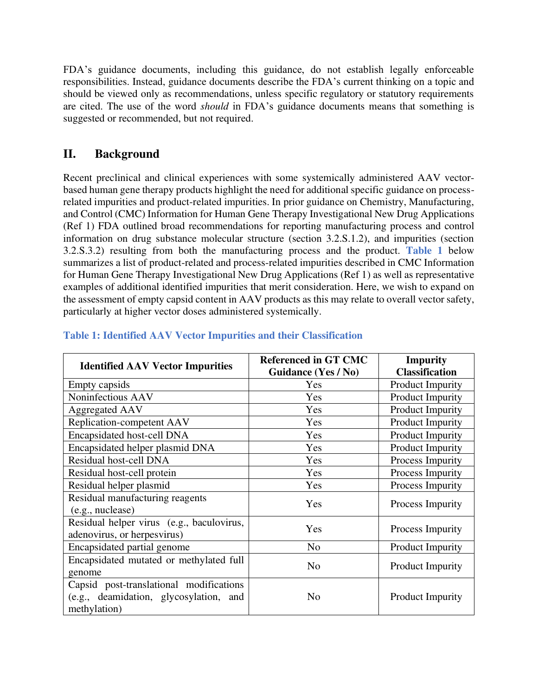FDA's guidance documents, including this guidance, do not establish legally enforceable responsibilities. Instead, guidance documents describe the FDA's current thinking on a topic and should be viewed only as recommendations, unless specific regulatory or statutory requirements are cited. The use of the word *should* in FDA's guidance documents means that something is suggested or recommended, but not required.

# **II. Background**

Recent preclinical and clinical experiences with some systemically administered AAV vectorbased human gene therapy products highlight the need for additional specific guidance on processrelated impurities and product-related impurities. In prior guidance on Chemistry, Manufacturing, and Control (CMC) Information for Human Gene Therapy Investigational New Drug Applications (Ref 1) FDA outlined broad recommendations for reporting manufacturing process and control information on drug substance molecular structure (section 3.2.S.1.2), and impurities (section 3.2.S.3.2) resulting from both the manufacturing process and the product. **Table 1** below summarizes a list of product-related and process-related impurities described in CMC Information for Human Gene Therapy Investigational New Drug Applications (Ref 1) as well as representative examples of additional identified impurities that merit consideration. Here, we wish to expand on the assessment of empty capsid content in AAV products as this may relate to overall vector safety, particularly at higher vector doses administered systemically.

| <b>Identified AAV Vector Impurities</b>                                                           | <b>Referenced in GT CMC</b><br>Guidance (Yes / No) | <b>Impurity</b><br><b>Classification</b> |  |
|---------------------------------------------------------------------------------------------------|----------------------------------------------------|------------------------------------------|--|
| Empty capsids                                                                                     | Yes                                                | <b>Product Impurity</b>                  |  |
| Noninfectious AAV                                                                                 | Yes                                                | <b>Product Impurity</b>                  |  |
| <b>Aggregated AAV</b>                                                                             | Yes                                                | <b>Product Impurity</b>                  |  |
| Replication-competent AAV                                                                         | Yes                                                | <b>Product Impurity</b>                  |  |
| Encapsidated host-cell DNA                                                                        | Yes                                                | <b>Product Impurity</b>                  |  |
| Encapsidated helper plasmid DNA                                                                   | Yes                                                | <b>Product Impurity</b>                  |  |
| Residual host-cell DNA                                                                            | Yes                                                | Process Impurity                         |  |
| Residual host-cell protein                                                                        | Yes                                                | Process Impurity                         |  |
| Residual helper plasmid                                                                           | Yes                                                | Process Impurity                         |  |
| Residual manufacturing reagents<br>(e.g., nuclease)                                               | Yes                                                | Process Impurity                         |  |
| Residual helper virus (e.g., baculovirus,<br>adenovirus, or herpesvirus)                          | Yes                                                | Process Impurity                         |  |
| Encapsidated partial genome                                                                       | N <sub>o</sub>                                     | Product Impurity                         |  |
| Encapsidated mutated or methylated full<br>genome                                                 | N <sub>o</sub>                                     | <b>Product Impurity</b>                  |  |
| Capsid post-translational modifications<br>(e.g., deamidation, glycosylation, and<br>methylation) | N <sub>o</sub>                                     | <b>Product Impurity</b>                  |  |

#### **Table 1: Identified AAV Vector Impurities and their Classification**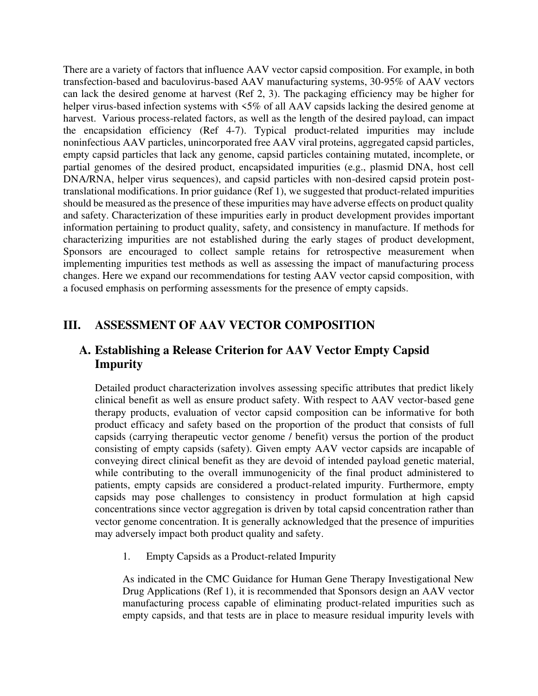There are a variety of factors that influence AAV vector capsid composition. For example, in both transfection-based and baculovirus-based AAV manufacturing systems, 30-95% of AAV vectors can lack the desired genome at harvest (Ref 2, 3). The packaging efficiency may be higher for helper virus-based infection systems with  $5\%$  of all AAV capsids lacking the desired genome at harvest. Various process-related factors, as well as the length of the desired payload, can impact the encapsidation efficiency (Ref 4-7). Typical product-related impurities may include noninfectious AAV particles, unincorporated free AAV viral proteins, aggregated capsid particles, empty capsid particles that lack any genome, capsid particles containing mutated, incomplete, or partial genomes of the desired product, encapsidated impurities (e.g., plasmid DNA, host cell DNA/RNA, helper virus sequences), and capsid particles with non-desired capsid protein posttranslational modifications. In prior guidance (Ref 1), we suggested that product-related impurities should be measured as the presence of these impurities may have adverse effects on product quality and safety. Characterization of these impurities early in product development provides important information pertaining to product quality, safety, and consistency in manufacture. If methods for characterizing impurities are not established during the early stages of product development, Sponsors are encouraged to collect sample retains for retrospective measurement when implementing impurities test methods as well as assessing the impact of manufacturing process changes. Here we expand our recommendations for testing AAV vector capsid composition, with a focused emphasis on performing assessments for the presence of empty capsids.

# **III. ASSESSMENT OF AAV VECTOR COMPOSITION**

# **A. Establishing a Release Criterion for AAV Vector Empty Capsid Impurity**

Detailed product characterization involves assessing specific attributes that predict likely clinical benefit as well as ensure product safety. With respect to AAV vector-based gene therapy products, evaluation of vector capsid composition can be informative for both product efficacy and safety based on the proportion of the product that consists of full capsids (carrying therapeutic vector genome / benefit) versus the portion of the product consisting of empty capsids (safety). Given empty AAV vector capsids are incapable of conveying direct clinical benefit as they are devoid of intended payload genetic material, while contributing to the overall immunogenicity of the final product administered to patients, empty capsids are considered a product-related impurity. Furthermore, empty capsids may pose challenges to consistency in product formulation at high capsid concentrations since vector aggregation is driven by total capsid concentration rather than vector genome concentration. It is generally acknowledged that the presence of impurities may adversely impact both product quality and safety.

1. Empty Capsids as a Product-related Impurity

As indicated in the CMC Guidance for Human Gene Therapy Investigational New Drug Applications (Ref 1), it is recommended that Sponsors design an AAV vector manufacturing process capable of eliminating product-related impurities such as empty capsids, and that tests are in place to measure residual impurity levels with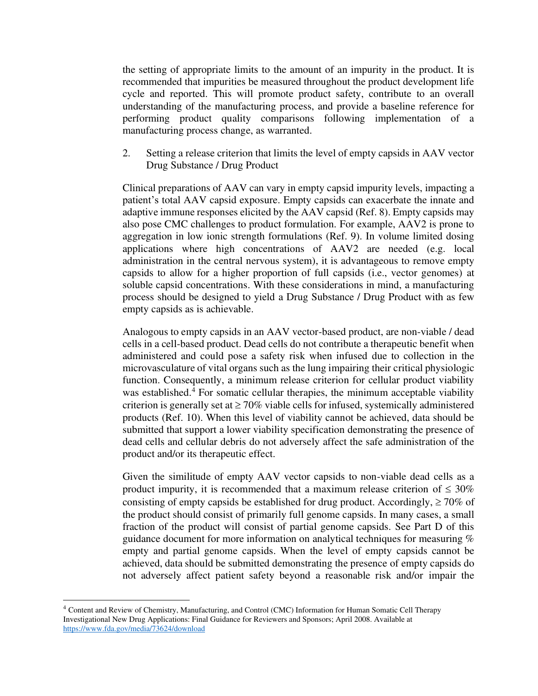the setting of appropriate limits to the amount of an impurity in the product. It is recommended that impurities be measured throughout the product development life cycle and reported. This will promote product safety, contribute to an overall understanding of the manufacturing process, and provide a baseline reference for performing product quality comparisons following implementation of a manufacturing process change, as warranted.

2. Setting a release criterion that limits the level of empty capsids in AAV vector Drug Substance / Drug Product

Clinical preparations of AAV can vary in empty capsid impurity levels, impacting a patient's total AAV capsid exposure. Empty capsids can exacerbate the innate and adaptive immune responses elicited by the AAV capsid (Ref. 8). Empty capsids may also pose CMC challenges to product formulation. For example, AAV2 is prone to aggregation in low ionic strength formulations (Ref. 9). In volume limited dosing applications where high concentrations of AAV2 are needed (e.g. local administration in the central nervous system), it is advantageous to remove empty capsids to allow for a higher proportion of full capsids (i.e., vector genomes) at soluble capsid concentrations. With these considerations in mind, a manufacturing process should be designed to yield a Drug Substance / Drug Product with as few empty capsids as is achievable.

Analogous to empty capsids in an AAV vector-based product, are non-viable / dead cells in a cell-based product. Dead cells do not contribute a therapeutic benefit when administered and could pose a safety risk when infused due to collection in the microvasculature of vital organs such as the lung impairing their critical physiologic function. Consequently, a minimum release criterion for cellular product viability was established.<sup>4</sup> For somatic cellular therapies, the minimum acceptable viability criterion is generally set at  $\geq 70\%$  viable cells for infused, systemically administered products (Ref. 10). When this level of viability cannot be achieved, data should be submitted that support a lower viability specification demonstrating the presence of dead cells and cellular debris do not adversely affect the safe administration of the product and/or its therapeutic effect.

Given the similitude of empty AAV vector capsids to non-viable dead cells as a product impurity, it is recommended that a maximum release criterion of  $\leq 30\%$ consisting of empty capsids be established for drug product. Accordingly,  $\geq 70\%$  of the product should consist of primarily full genome capsids. In many cases, a small fraction of the product will consist of partial genome capsids. See Part D of this guidance document for more information on analytical techniques for measuring % empty and partial genome capsids. When the level of empty capsids cannot be achieved, data should be submitted demonstrating the presence of empty capsids do not adversely affect patient safety beyond a reasonable risk and/or impair the

<sup>4</sup> Content and Review of Chemistry, Manufacturing, and Control (CMC) Information for Human Somatic Cell Therapy Investigational New Drug Applications: Final Guidance for Reviewers and Sponsors; April 2008. Available at <https://www.fda.gov/media/73624/download>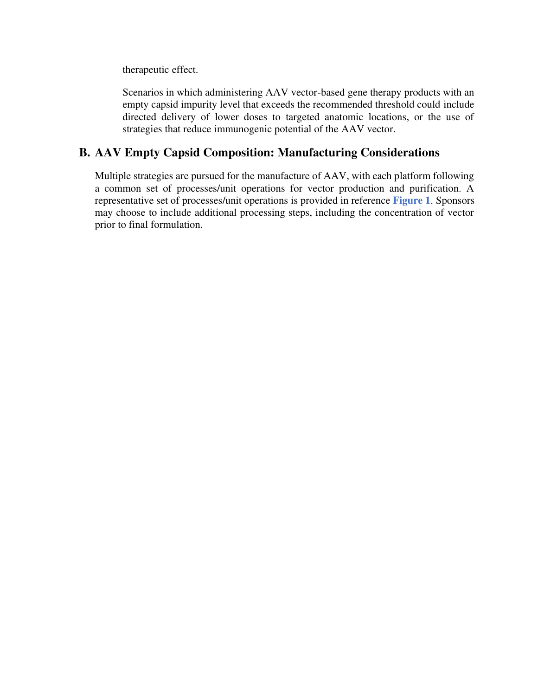therapeutic effect.

Scenarios in which administering AAV vector-based gene therapy products with an empty capsid impurity level that exceeds the recommended threshold could include directed delivery of lower doses to targeted anatomic locations, or the use of strategies that reduce immunogenic potential of the AAV vector.

#### **B. AAV Empty Capsid Composition: Manufacturing Considerations**

Multiple strategies are pursued for the manufacture of AAV, with each platform following a common set of processes/unit operations for vector production and purification. A representative set of processes/unit operations is provided in reference **Figure 1**. Sponsors may choose to include additional processing steps, including the concentration of vector prior to final formulation.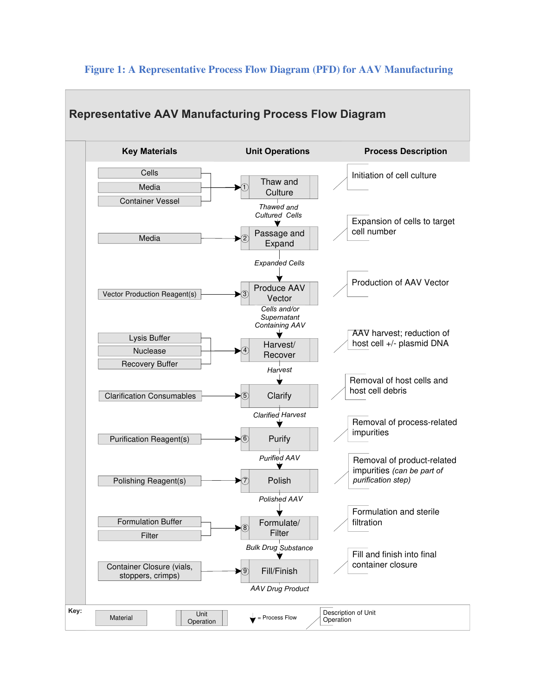

#### **Figure 1: A Representative Process Flow Diagram (PFD) for AAV Manufacturing**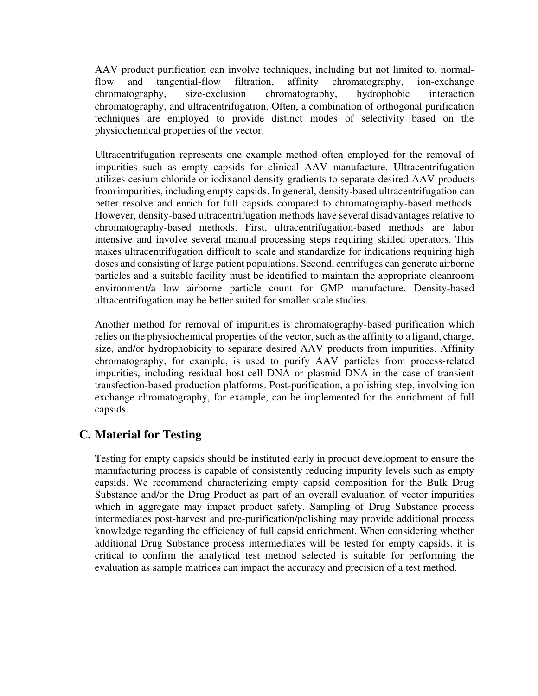AAV product purification can involve techniques, including but not limited to, normalflow and tangential-flow filtration, affinity chromatography, ion-exchange chromatography, size-exclusion chromatography, hydrophobic interaction chromatography, and ultracentrifugation. Often, a combination of orthogonal purification techniques are employed to provide distinct modes of selectivity based on the physiochemical properties of the vector.

Ultracentrifugation represents one example method often employed for the removal of impurities such as empty capsids for clinical AAV manufacture. Ultracentrifugation utilizes cesium chloride or iodixanol density gradients to separate desired AAV products from impurities, including empty capsids. In general, density-based ultracentrifugation can better resolve and enrich for full capsids compared to chromatography-based methods. However, density-based ultracentrifugation methods have several disadvantages relative to chromatography-based methods. First, ultracentrifugation-based methods are labor intensive and involve several manual processing steps requiring skilled operators. This makes ultracentrifugation difficult to scale and standardize for indications requiring high doses and consisting of large patient populations. Second, centrifuges can generate airborne particles and a suitable facility must be identified to maintain the appropriate cleanroom environment/a low airborne particle count for GMP manufacture. Density-based ultracentrifugation may be better suited for smaller scale studies.

Another method for removal of impurities is chromatography-based purification which relies on the physiochemical properties of the vector, such as the affinity to a ligand, charge, size, and/or hydrophobicity to separate desired AAV products from impurities. Affinity chromatography, for example, is used to purify AAV particles from process-related impurities, including residual host-cell DNA or plasmid DNA in the case of transient transfection-based production platforms. Post-purification, a polishing step, involving ion exchange chromatography, for example, can be implemented for the enrichment of full capsids.

# **C. Material for Testing**

Testing for empty capsids should be instituted early in product development to ensure the manufacturing process is capable of consistently reducing impurity levels such as empty capsids. We recommend characterizing empty capsid composition for the Bulk Drug Substance and/or the Drug Product as part of an overall evaluation of vector impurities which in aggregate may impact product safety. Sampling of Drug Substance process intermediates post-harvest and pre-purification/polishing may provide additional process knowledge regarding the efficiency of full capsid enrichment. When considering whether additional Drug Substance process intermediates will be tested for empty capsids, it is critical to confirm the analytical test method selected is suitable for performing the evaluation as sample matrices can impact the accuracy and precision of a test method.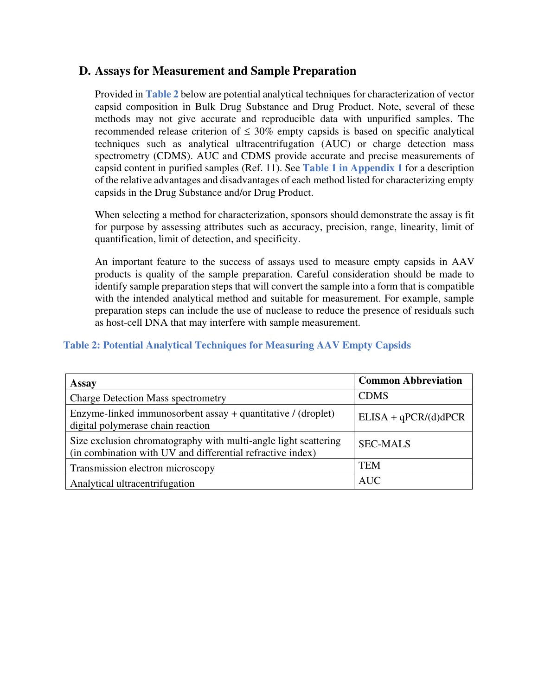#### **D. Assays for Measurement and Sample Preparation**

Provided in **Table 2** below are potential analytical techniques for characterization of vector capsid composition in Bulk Drug Substance and Drug Product. Note, several of these methods may not give accurate and reproducible data with unpurified samples. The recommended release criterion of  $\leq 30\%$  empty capsids is based on specific analytical techniques such as analytical ultracentrifugation (AUC) or charge detection mass spectrometry (CDMS). AUC and CDMS provide accurate and precise measurements of capsid content in purified samples (Ref. 11). See **Table 1 in Appendix 1** for a description of the relative advantages and disadvantages of each method listed for characterizing empty capsids in the Drug Substance and/or Drug Product.

When selecting a method for characterization, sponsors should demonstrate the assay is fit for purpose by assessing attributes such as accuracy, precision, range, linearity, limit of quantification, limit of detection, and specificity.

An important feature to the success of assays used to measure empty capsids in AAV products is quality of the sample preparation. Careful consideration should be made to identify sample preparation steps that will convert the sample into a form that is compatible with the intended analytical method and suitable for measurement. For example, sample preparation steps can include the use of nuclease to reduce the presence of residuals such as host-cell DNA that may interfere with sample measurement.

#### **Table 2: Potential Analytical Techniques for Measuring AAV Empty Capsids**

| <b>Assay</b>                                                                                                                  | <b>Common Abbreviation</b> |
|-------------------------------------------------------------------------------------------------------------------------------|----------------------------|
| <b>Charge Detection Mass spectrometry</b>                                                                                     | <b>CDMS</b>                |
| Enzyme-linked immunosorbent assay + quantitative / (droplet)<br>digital polymerase chain reaction                             | $ELISA + qPCR/(d)dPCR$     |
| Size exclusion chromatography with multi-angle light scattering<br>(in combination with UV and differential refractive index) | <b>SEC-MALS</b>            |
| Transmission electron microscopy                                                                                              | <b>TEM</b>                 |
| Analytical ultracentrifugation                                                                                                | <b>AUC</b>                 |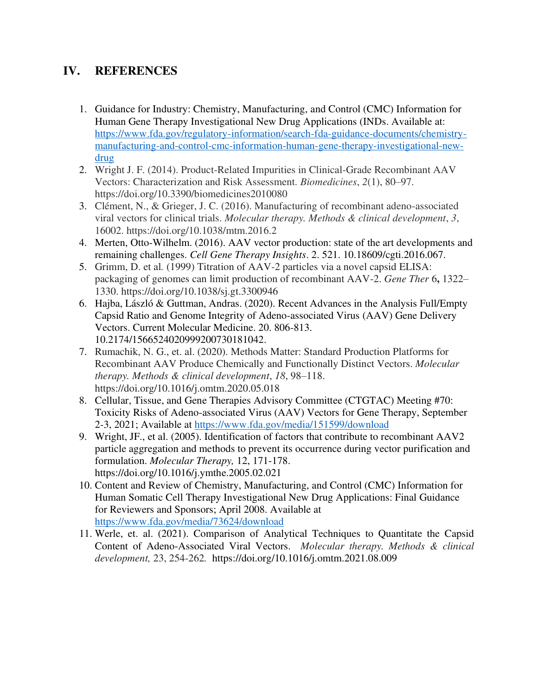# **IV. REFERENCES**

- 1. Guidance for Industry: Chemistry, Manufacturing, and Control (CMC) Information for Human Gene Therapy Investigational New Drug Applications (INDs. Available at: [https://www.fda.gov/regulatory-information/search-fda-guidance-documents/chemistry](https://www.fda.gov/regulatory-information/search-fda-guidance-documents/chemistry-manufacturing-and-control-cmc-information-human-gene-therapy-investigational-new-drug)[manufacturing-and-control-cmc-information-human-gene-therapy-investigational-new](https://www.fda.gov/regulatory-information/search-fda-guidance-documents/chemistry-manufacturing-and-control-cmc-information-human-gene-therapy-investigational-new-drug)[drug](https://www.fda.gov/regulatory-information/search-fda-guidance-documents/chemistry-manufacturing-and-control-cmc-information-human-gene-therapy-investigational-new-drug)
- 2. Wright J. F. (2014). Product-Related Impurities in Clinical-Grade Recombinant AAV Vectors: Characterization and Risk Assessment. *Biomedicines*, *2*(1), 80–97. https://doi.org/10.3390/biomedicines2010080
- 3. Clément, N., & Grieger, J. C. (2016). Manufacturing of recombinant adeno-associated viral vectors for clinical trials. *Molecular therapy. Methods & clinical development*, *3*, 16002. https://doi.org/10.1038/mtm.2016.2
- 4. Merten, Otto-Wilhelm. (2016). AAV vector production: state of the art developments and remaining challenges. *Cell Gene Therapy Insights*. 2. 521. 10.18609/cgti.2016.067.
- 5. Grimm, D. et al*.* (1999) Titration of AAV-2 particles via a novel capsid ELISA: packaging of genomes can limit production of recombinant AAV-2. *Gene Ther* 6**,** 1322– 1330. https://doi.org/10.1038/sj.gt.3300946
- 6. Hajba, László & Guttman, Andras. (2020). Recent Advances in the Analysis Full/Empty Capsid Ratio and Genome Integrity of Adeno-associated Virus (AAV) Gene Delivery Vectors. Current Molecular Medicine. 20. 806-813. 10.2174/1566524020999200730181042.
- 7. Rumachik, N. G., et. al. (2020). Methods Matter: Standard Production Platforms for Recombinant AAV Produce Chemically and Functionally Distinct Vectors. *Molecular therapy. Methods & clinical development*, *18*, 98–118. https://doi.org/10.1016/j.omtm.2020.05.018
- 8. Cellular, Tissue, and Gene Therapies Advisory Committee (CTGTAC) Meeting #70: Toxicity Risks of Adeno-associated Virus (AAV) Vectors for Gene Therapy, September 2-3, 2021; Available at<https://www.fda.gov/media/151599/download>
- 9. Wright, JF., et al. (2005). Identification of factors that contribute to recombinant AAV2 particle aggregation and methods to prevent its occurrence during vector purification and formulation. *Molecular Therapy,* 12, 171-178. https://doi.org/10.1016/j.ymthe.2005.02.021
- 10. Content and Review of Chemistry, Manufacturing, and Control (CMC) Information for Human Somatic Cell Therapy Investigational New Drug Applications: Final Guidance for Reviewers and Sponsors; April 2008. Available at <https://www.fda.gov/media/73624/download>
- 11. Werle, et. al. (2021). Comparison of Analytical Techniques to Quantitate the Capsid Content of Adeno-Associated Viral Vectors. *Molecular therapy. Methods & clinical development,* 23, 254-262*.* https://doi.org/10.1016/j.omtm.2021.08.009